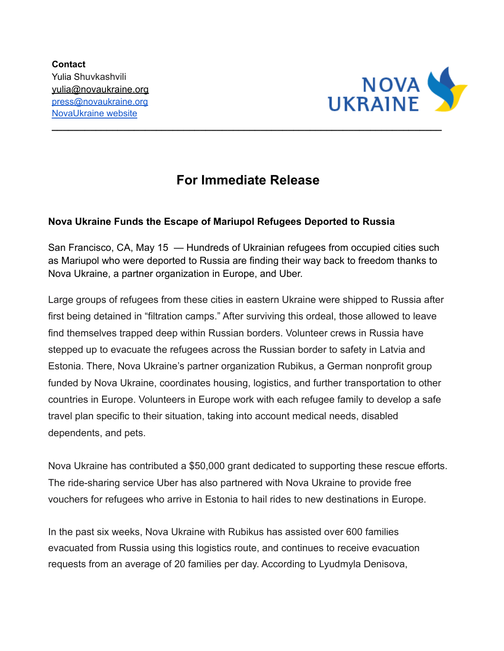

## **For Immediate Release**

**\_\_\_\_\_\_\_\_\_\_\_\_\_\_\_\_\_\_\_\_\_\_\_\_\_\_\_\_\_\_\_\_\_\_\_\_\_\_\_\_\_\_\_\_\_\_\_\_\_\_\_\_\_\_\_\_\_\_\_\_\_\_\_\_\_\_\_\_\_\_\_**

## **Nova Ukraine Funds the Escape of Mariupol Refugees Deported to Russia**

San Francisco, CA, May 15 — Hundreds of Ukrainian refugees from occupied cities such as Mariupol who were deported to Russia are finding their way back to freedom thanks to Nova Ukraine, a partner organization in Europe, and Uber.

Large groups of refugees from these cities in eastern Ukraine were shipped to Russia after first being detained in "filtration camps." After surviving this ordeal, those allowed to leave find themselves trapped deep within Russian borders. Volunteer crews in Russia have stepped up to evacuate the refugees across the Russian border to safety in Latvia and Estonia. There, Nova Ukraine's partner organization Rubikus, a German nonprofit group funded by Nova Ukraine, coordinates housing, logistics, and further transportation to other countries in Europe. Volunteers in Europe work with each refugee family to develop a safe travel plan specific to their situation, taking into account medical needs, disabled dependents, and pets.

Nova Ukraine has contributed a \$50,000 grant dedicated to supporting these rescue efforts. The ride-sharing service Uber has also partnered with Nova Ukraine to provide free vouchers for refugees who arrive in Estonia to hail rides to new destinations in Europe.

In the past six weeks, Nova Ukraine with Rubikus has assisted over 600 families evacuated from Russia using this logistics route, and continues to receive evacuation requests from an average of 20 families per day. According to Lyudmyla Denisova,